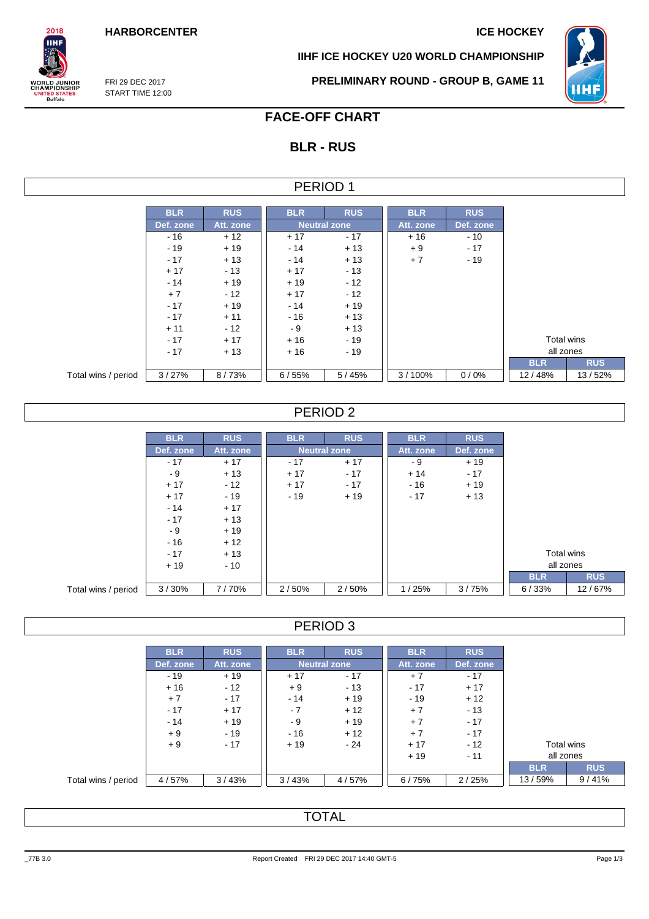**IIHF ICE HOCKEY U20 WORLD CHAMPIONSHIP**



FRI 29 DEC 2017 START TIME 12:00

 $2018$ **IIHF** 

**ORLD JUNIOR**<br>HAMPIONSHIP

**IITED STATES**<br>Buffalo

**PRELIMINARY ROUND - GROUP B, GAME 11**

# **FACE-OFF CHART**

## **BLR - RUS**

### PERIOD 1

|                     | <b>BLR</b>             | <b>RUS</b> | <b>BLR</b>          | <b>RUS</b> | <b>BLR</b> | <b>RUS</b> |            |  |
|---------------------|------------------------|------------|---------------------|------------|------------|------------|------------|--|
|                     | Def. zone<br>Att. zone |            | <b>Neutral zone</b> |            | Att. zone  | Def. zone  |            |  |
|                     | - 16                   | $+12$      | $+17$               | $-17$      | $+16$      | $-10$      |            |  |
|                     | $-19$                  | $+19$      | $-14$               | $+13$      | $+9$       | $-17$      |            |  |
|                     | $-17$                  | $+13$      | $-14$               | $+13$      | $+7$       | $-19$      |            |  |
|                     | $+17$                  | $-13$      | $+17$               | $-13$      |            |            |            |  |
|                     | $-14$                  | $+19$      | $+19$               | $-12$      |            |            |            |  |
|                     | $+7$                   | $-12$      | $+17$               | $-12$      |            |            |            |  |
|                     | $-17$                  | $+19$      | $-14$               | $+19$      |            |            |            |  |
|                     | $-17$                  | $+11$      | $-16$               | $+13$      |            |            |            |  |
|                     | $+11$                  | $-12$      | - 9                 | $+13$      |            |            |            |  |
|                     | $-17$                  | $+17$      | $+16$               | $-19$      |            |            | Total wins |  |
|                     | $-17$                  | $+13$      | $+16$               | $-19$      |            |            | all zones  |  |
|                     |                        |            |                     |            |            |            | <b>BLR</b> |  |
| Total wins / period | 3/27%                  | 8/73%      | 6/55%               | 5/45%      | 3/100%     | 0/0%       | 12/48%     |  |

### PERIOD 2

|                     | <b>BLR</b> | <b>RUS</b> | <b>BLR</b> | <b>RUS</b>          | <b>BLR</b> | <b>RUS</b> |            |            |
|---------------------|------------|------------|------------|---------------------|------------|------------|------------|------------|
|                     | Def. zone  | Att. zone  |            | <b>Neutral zone</b> | Att. zone  | Def. zone  |            |            |
|                     | $-17$      | $+17$      | $-17$      | $+17$               | - 9        | $+19$      |            |            |
|                     | - 9        | $+13$      | $+17$      | $-17$               | $+14$      | $-17$      |            |            |
|                     | $+17$      | $-12$      | $+17$      | $-17$               | $-16$      | $+19$      |            |            |
|                     | $+17$      | $-19$      | $-19$      | $+19$               | $-17$      | $+13$      |            |            |
|                     | $-14$      | $+17$      |            |                     |            |            |            |            |
|                     | $-17$      | $+13$      |            |                     |            |            |            |            |
|                     | - 9        | $+19$      |            |                     |            |            |            |            |
|                     | $-16$      | $+12$      |            |                     |            |            |            |            |
|                     | $-17$      | $+13$      |            |                     |            |            | Total wins |            |
|                     | $+19$      | $-10$      |            |                     |            |            | all zones  |            |
|                     |            |            |            |                     |            |            | <b>BLR</b> | <b>RUS</b> |
| Total wins / period | 3/30%      | 7/70%      | 2/50%      | 2/50%               | 1/25%      | 3/75%      | 6/33%      | 12/67%     |

PERIOD 3

|                     | <b>BLR</b> | <b>RUS</b> | <b>BLR</b> | <b>RUS</b>          | <b>BLR</b> | <b>RUS</b> |            |            |
|---------------------|------------|------------|------------|---------------------|------------|------------|------------|------------|
|                     | Def. zone  | Att. zone  |            | <b>Neutral zone</b> | Att. zone  | Def. zone  |            |            |
|                     | $-19$      | $+19$      | $+17$      | $-17$               | $+7$       | $-17$      |            |            |
|                     | $+16$      | $-12$      | $+9$       | $-13$               | $-17$      | $+17$      |            |            |
|                     | $+7$       | $-17$      | $-14$      | $+19$               | $-19$      | $+12$      |            |            |
|                     | $-17$      | $+17$      | $-7$       | $+12$               | $+7$       | $-13$      |            |            |
|                     | $-14$      | $+19$      | - 9        | $+19$               | $+7$       | $-17$      |            |            |
|                     | $+9$       | $-19$      | $-16$      | $+12$               | $+7$       | $-17$      |            |            |
|                     | $+9$       | $-17$      | $+19$      | $-24$               | $+17$      | $-12$      | Total wins |            |
|                     |            |            |            |                     | $+19$      | $-11$      | all zones  |            |
|                     |            |            |            |                     |            |            | <b>BLR</b> | <b>RUS</b> |
| Total wins / period | 4/57%      | 3/43%      | 3/43%      | 4/57%               | 6/75%      | 2/25%      | 13/59%     | 9/41%      |

# **TOTAL**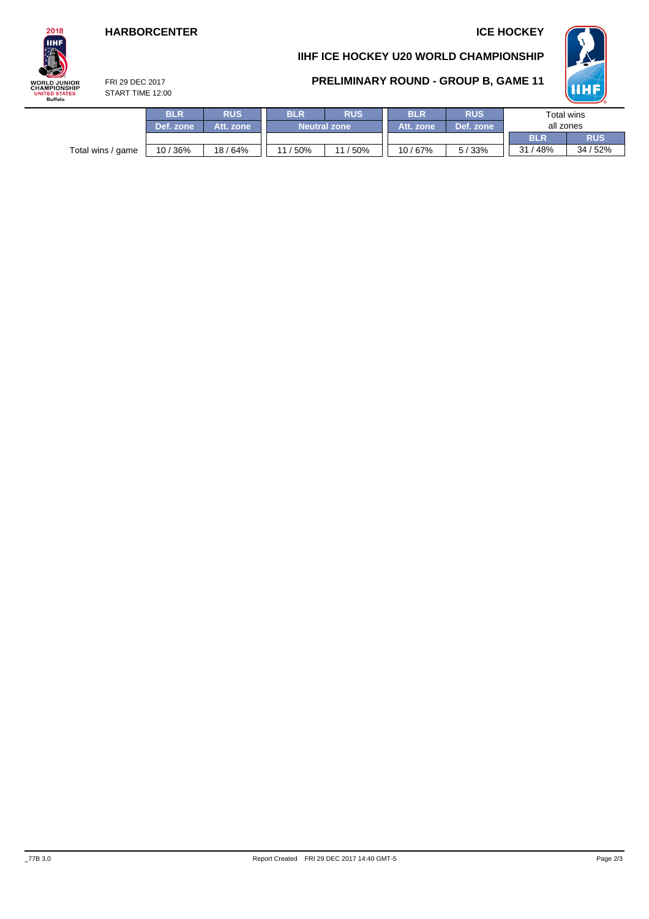## **HARBORCENTER ICE HOCKEY**

# $2018$ **IIHF WORLD JUNIOR<br>CHAMPIONSHIP<br>UNITED STATES<br>Buffalo**

## **IIHF ICE HOCKEY U20 WORLD CHAMPIONSHIP**

### **PRELIMINARY ROUND - GROUP B, GAME 11**



FRI 29 DEC 2017 START TIME 12:00

|                   | <b>BLR</b> | <b>RUS</b> | <b>RUS</b><br><b>BLR</b> |             | <b>BLR</b> | <b>RUS</b> | Total wins |            |  |
|-------------------|------------|------------|--------------------------|-------------|------------|------------|------------|------------|--|
|                   | Def. zone  | Att. zone  | <b>Neutral zone</b>      |             | Att. zone  | Def. zone  | all zones  |            |  |
|                   |            |            |                          |             |            |            | <b>BLR</b> | <b>RUS</b> |  |
| Total wins / game | 10/36%     | 18/64%     | 150%<br>11               | / 50%<br>11 | 10/67%     | 5/33%      | 31<br>48%  | 34 / 52%   |  |